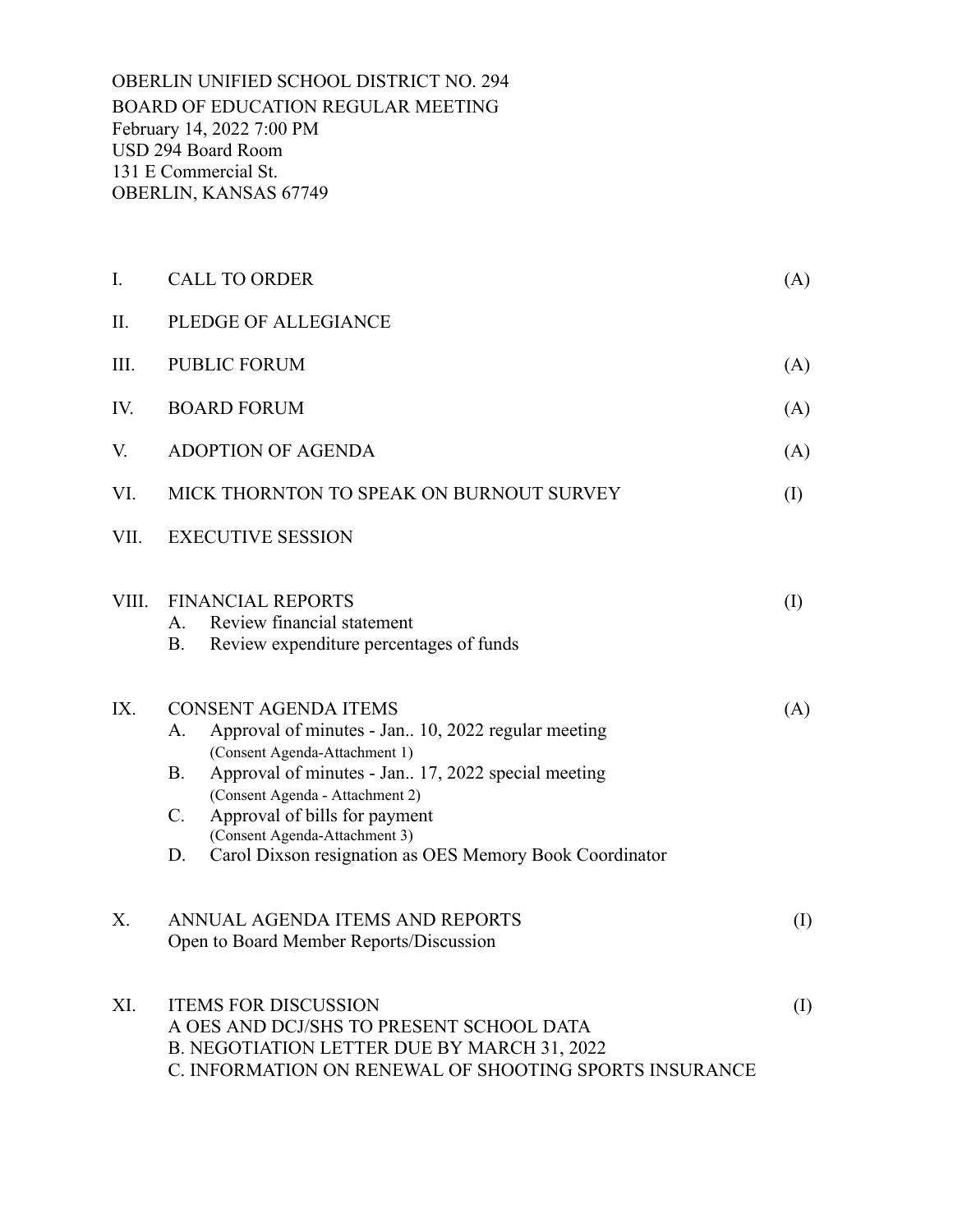OBERLIN UNIFIED SCHOOL DISTRICT NO. 294 BOARD OF EDUCATION REGULAR MEETING February 14, 2022 7:00 PM USD 294 Board Room 131 E Commercial St. OBERLIN, KANSAS 67749

| I.    | <b>CALL TO ORDER</b><br>(A)                                                                                                                                                                                                                                                                                                                                                      |     |  |  |
|-------|----------------------------------------------------------------------------------------------------------------------------------------------------------------------------------------------------------------------------------------------------------------------------------------------------------------------------------------------------------------------------------|-----|--|--|
| Π.    | PLEDGE OF ALLEGIANCE                                                                                                                                                                                                                                                                                                                                                             |     |  |  |
| III.  | <b>PUBLIC FORUM</b>                                                                                                                                                                                                                                                                                                                                                              |     |  |  |
| IV.   | <b>BOARD FORUM</b>                                                                                                                                                                                                                                                                                                                                                               |     |  |  |
| V.    | <b>ADOPTION OF AGENDA</b>                                                                                                                                                                                                                                                                                                                                                        |     |  |  |
| VI.   | MICK THORNTON TO SPEAK ON BURNOUT SURVEY                                                                                                                                                                                                                                                                                                                                         |     |  |  |
| VII.  | <b>EXECUTIVE SESSION</b>                                                                                                                                                                                                                                                                                                                                                         |     |  |  |
| VIII. | <b>FINANCIAL REPORTS</b><br>Review financial statement<br>A.<br><b>B.</b><br>Review expenditure percentages of funds                                                                                                                                                                                                                                                             | (I) |  |  |
| IX.   | <b>CONSENT AGENDA ITEMS</b><br>Approval of minutes - Jan 10, 2022 regular meeting<br>A.<br>(Consent Agenda-Attachment 1)<br>Approval of minutes - Jan 17, 2022 special meeting<br><b>B.</b><br>(Consent Agenda - Attachment 2)<br>$C_{\cdot}$<br>Approval of bills for payment<br>(Consent Agenda-Attachment 3)<br>Carol Dixson resignation as OES Memory Book Coordinator<br>D. | (A) |  |  |
| Х.    | ANNUAL AGENDA ITEMS AND REPORTS<br>Open to Board Member Reports/Discussion                                                                                                                                                                                                                                                                                                       | (I) |  |  |
| XI.   | <b>ITEMS FOR DISCUSSION</b><br>A OES AND DCJ/SHS TO PRESENT SCHOOL DATA<br>B. NEGOTIATION LETTER DUE BY MARCH 31, 2022<br>C. INFORMATION ON RENEWAL OF SHOOTING SPORTS INSURANCE                                                                                                                                                                                                 |     |  |  |